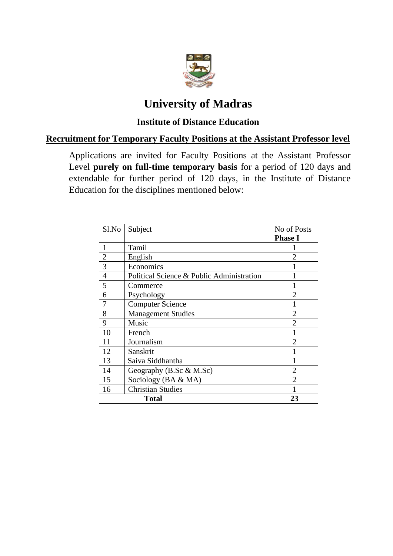

# **University of Madras**

# **Institute of Distance Education**

## **Recruitment for Temporary Faculty Positions at the Assistant Professor level**

Applications are invited for Faculty Positions at the Assistant Professor Level **purely on full-time temporary basis** for a period of 120 days and extendable for further period of 120 days, in the Institute of Distance Education for the disciplines mentioned below:

| Sl.No          | Subject                                   | No of Posts    |
|----------------|-------------------------------------------|----------------|
|                |                                           | <b>Phase I</b> |
| $\mathbf{1}$   | Tamil                                     |                |
| $\overline{2}$ | English                                   | $\overline{2}$ |
| 3              | Economics                                 |                |
| 4              | Political Science & Public Administration |                |
| 5              | Commerce                                  |                |
| 6              | Psychology                                | $\mathfrak{D}$ |
| 7              | <b>Computer Science</b>                   |                |
| 8              | <b>Management Studies</b>                 | $\overline{2}$ |
| 9              | Music                                     | $\mathfrak{D}$ |
| 10             | French                                    |                |
| 11             | Journalism                                | $\overline{2}$ |
| 12             | Sanskrit                                  |                |
| 13             | Saiva Siddhantha                          |                |
| 14             | Geography (B.Sc & M.Sc)                   | $\overline{2}$ |
| 15             | Sociology (BA & MA)                       |                |
| 16             | <b>Christian Studies</b>                  |                |
|                | <b>Total</b>                              | 23             |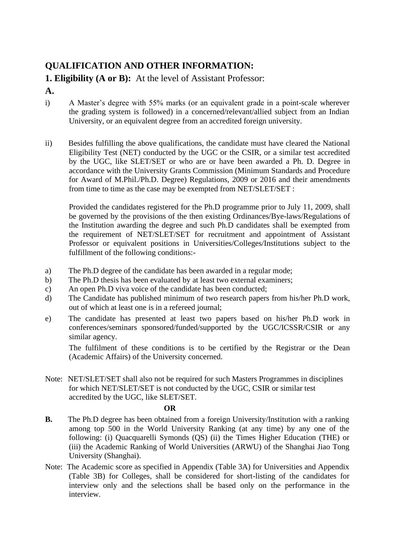# **QUALIFICATION AND OTHER INFORMATION:**

# **1. Eligibility (A or B):** At the level of Assistant Professor:

### **A.**

- i) A Master's degree with 55% marks (or an equivalent grade in a point-scale wherever the grading system is followed) in a concerned/relevant/allied subject from an Indian University, or an equivalent degree from an accredited foreign university.
- ii) Besides fulfilling the above qualifications, the candidate must have cleared the National Eligibility Test (NET) conducted by the UGC or the CSIR, or a similar test accredited by the UGC, like SLET/SET or who are or have been awarded a Ph. D*.* Degree in accordance with the University Grants Commission (Minimum Standards and Procedure for Award of M.Phil./Ph.D. Degree) Regulations, 2009 or 2016 and their amendments from time to time as the case may be exempted from NET/SLET/SET :

Provided the candidates registered for the Ph.D programme prior to July 11, 2009, shall be governed by the provisions of the then existing Ordinances/Bye-laws/Regulations of the Institution awarding the degree and such Ph.D candidates shall be exempted from the requirement of NET/SLET/SET for recruitment and appointment of Assistant Professor or equivalent positions in Universities/Colleges/Institutions subject to the fulfillment of the following conditions:-

- a) The Ph.D degree of the candidate has been awarded in a regular mode;
- b) The Ph.D thesis has been evaluated by at least two external examiners;
- c) An open Ph.D viva voice of the candidate has been conducted;
- d) The Candidate has published minimum of two research papers from his/her Ph.D work, out of which at least one is in a refereed journal;
- e) The candidate has presented at least two papers based on his/her Ph.D work in conferences/seminars sponsored/funded/supported by the UGC/ICSSR/CSIR or any similar agency.

The fulfilment of these conditions is to be certified by the Registrar or the Dean (Academic Affairs) of the University concerned.

Note: NET/SLET/SET shall also not be required for such Masters Programmes in disciplines for which NET/SLET/SET is not conducted by the UGC, CSIR or similar test accredited by the UGC, like SLET/SET.

#### **OR**

- **B.** The Ph.D degree has been obtained from a foreign University/Institution with a ranking among top 500 in the World University Ranking (at any time) by any one of the following: (i) Quacquarelli Symonds (QS) (ii) the Times Higher Education (THE) or (iii) the Academic Ranking of World Universities (ARWU) of the Shanghai Jiao Tong University (Shanghai).
- Note: The Academic score as specified in Appendix (Table 3A) for Universities and Appendix (Table 3B) for Colleges, shall be considered for short-listing of the candidates for interview only and the selections shall be based only on the performance in the interview.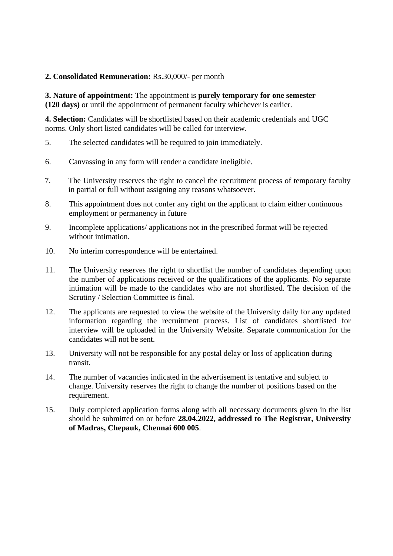#### **2. Consolidated Remuneration:** Rs.30,000/- per month

**3. Nature of appointment:** The appointment is **purely temporary for one semester (120 days)** or until the appointment of permanent faculty whichever is earlier.

**4. Selection:** Candidates will be shortlisted based on their academic credentials and UGC norms. Only short listed candidates will be called for interview.

- 5. The selected candidates will be required to join immediately.
- 6. Canvassing in any form will render a candidate ineligible.
- 7. The University reserves the right to cancel the recruitment process of temporary faculty in partial or full without assigning any reasons whatsoever.
- 8. This appointment does not confer any right on the applicant to claim either continuous employment or permanency in future
- 9. Incomplete applications/ applications not in the prescribed format will be rejected without intimation.
- 10. No interim correspondence will be entertained.
- 11. The University reserves the right to shortlist the number of candidates depending upon the number of applications received or the qualifications of the applicants. No separate intimation will be made to the candidates who are not shortlisted. The decision of the Scrutiny / Selection Committee is final.
- 12. The applicants are requested to view the website of the University daily for any updated information regarding the recruitment process. List of candidates shortlisted for interview will be uploaded in the University Website. Separate communication for the candidates will not be sent.
- 13. University will not be responsible for any postal delay or loss of application during transit.
- 14. The number of vacancies indicated in the advertisement is tentative and subject to change. University reserves the right to change the number of positions based on the requirement.
- 15. Duly completed application forms along with all necessary documents given in the list should be submitted on or before **28.04.2022, addressed to The Registrar, University of Madras, Chepauk, Chennai 600 005**.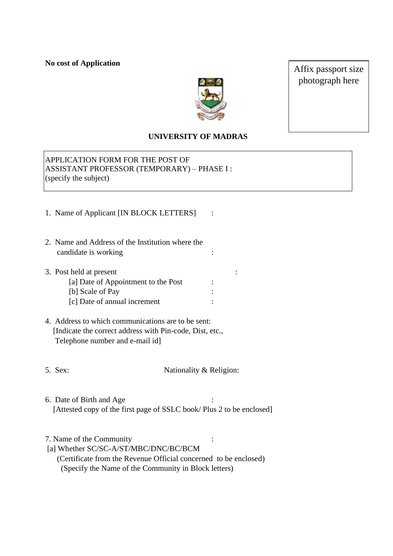**No cost of Application**



Affix passport size photograph here

#### **UNIVERSITY OF MADRAS**

APPLICATION FORM FOR THE POST OF ASSISTANT PROFESSOR (TEMPORARY) – PHASE I : (specify the subject)

- 1. Name of Applicant [IN BLOCK LETTERS] :
- 2. Name and Address of the Institution where the candidate is working :  $\cdot$  :
- 3. Post held at present :
	- [a] Date of Appointment to the Post : [b] Scale of Pay : [c] Date of annual increment :
- 4. Address to which communications are to be sent: [Indicate the correct address with Pin-code, Dist, etc., Telephone number and e-mail id]
- 

5. Sex: Nationality & Religion:

6. Date of Birth and Age : [Attested copy of the first page of SSLC book/ Plus 2 to be enclosed]

7. Name of the Community :

- [a] Whether SC/SC-A/ST/MBC/DNC/BC/BCM
	- (Certificate from the Revenue Official concerned to be enclosed) (Specify the Name of the Community in Block letters)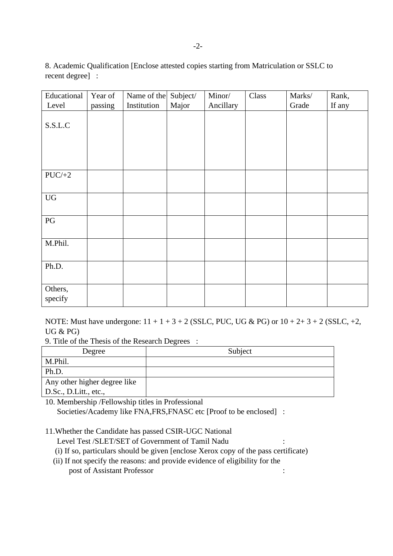8. Academic Qualification [Enclose attested copies starting from Matriculation or SSLC to recent degree] :

| Educational            | Year of | Name of the | Subject/ | Minor/    | Class | Marks/ | Rank,  |
|------------------------|---------|-------------|----------|-----------|-------|--------|--------|
| Level                  | passing | Institution | Major    | Ancillary |       | Grade  | If any |
| S.S.L.C                |         |             |          |           |       |        |        |
| $PUC/+2$               |         |             |          |           |       |        |        |
| ${\rm U}{\rm G}$       |         |             |          |           |       |        |        |
| $\mathbf{P}\mathbf{G}$ |         |             |          |           |       |        |        |
| M.Phil.                |         |             |          |           |       |        |        |
| Ph.D.                  |         |             |          |           |       |        |        |
| Others,<br>specify     |         |             |          |           |       |        |        |

NOTE: Must have undergone:  $11 + 1 + 3 + 2$  (SSLC, PUC, UG & PG) or  $10 + 2 + 3 + 2$  (SSLC,  $+2$ , UG & PG)

9. Title of the Thesis of the Research Degrees :

| Degree                       | Subject |
|------------------------------|---------|
| M.Phil.                      |         |
| Ph.D.                        |         |
| Any other higher degree like |         |
| D.Sc., D.Litt., etc.,        |         |

10. Membership /Fellowship titles in Professional Societies/Academy like FNA,FRS,FNASC etc [Proof to be enclosed] :

11.Whether the Candidate has passed CSIR-UGC National

Level Test /SLET/SET of Government of Tamil Nadu

- (i) If so, particulars should be given [enclose Xerox copy of the pass certificate)
- (ii) If not specify the reasons: and provide evidence of eligibility for the post of Assistant Professor : :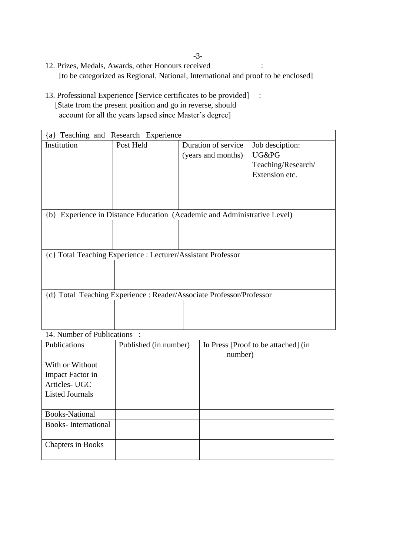-3-

- 12. Prizes, Medals, Awards, other Honours received : [to be categorized as Regional, National, International and proof to be enclosed]
- 13. Professional Experience [Service certificates to be provided] : [State from the present position and go in reverse, should account for all the years lapsed since Master's degree]

| $\{a\}$                   | Teaching and Research Experience                             |                                                                      |                    |  |
|---------------------------|--------------------------------------------------------------|----------------------------------------------------------------------|--------------------|--|
| Institution               | Post Held                                                    | Duration of service                                                  | Job desciption:    |  |
|                           |                                                              | (years and months)                                                   | UG&PG              |  |
|                           |                                                              |                                                                      | Teaching/Research/ |  |
|                           |                                                              |                                                                      | Extension etc.     |  |
|                           |                                                              |                                                                      |                    |  |
|                           |                                                              |                                                                      |                    |  |
|                           |                                                              |                                                                      |                    |  |
| $\{b\}$                   |                                                              | Experience in Distance Education (Academic and Administrative Level) |                    |  |
|                           |                                                              |                                                                      |                    |  |
|                           |                                                              |                                                                      |                    |  |
|                           |                                                              |                                                                      |                    |  |
|                           | {c} Total Teaching Experience : Lecturer/Assistant Professor |                                                                      |                    |  |
|                           |                                                              |                                                                      |                    |  |
|                           |                                                              |                                                                      |                    |  |
|                           |                                                              |                                                                      |                    |  |
|                           |                                                              | {d} Total Teaching Experience : Reader/Associate Professor/Professor |                    |  |
|                           |                                                              |                                                                      |                    |  |
|                           |                                                              |                                                                      |                    |  |
|                           |                                                              |                                                                      |                    |  |
| 14 Number of Dublicationa |                                                              |                                                                      |                    |  |

14. Number of Publications :

| Publications               | Published (in number) | In Press [Proof to be attached] (in |
|----------------------------|-----------------------|-------------------------------------|
|                            |                       | number)                             |
| With or Without            |                       |                                     |
| Impact Factor in           |                       |                                     |
| Articles-UGC               |                       |                                     |
| <b>Listed Journals</b>     |                       |                                     |
|                            |                       |                                     |
| <b>Books-National</b>      |                       |                                     |
| <b>Books-International</b> |                       |                                     |
|                            |                       |                                     |
| <b>Chapters in Books</b>   |                       |                                     |
|                            |                       |                                     |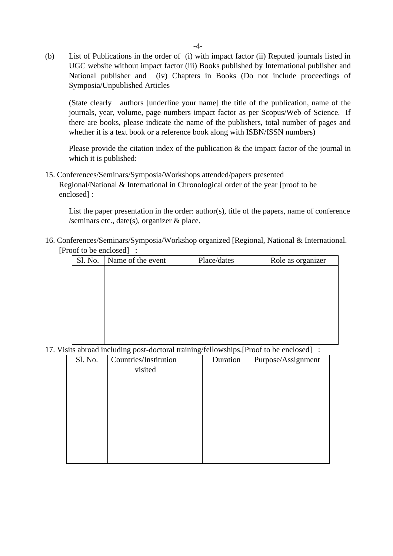(b) List of Publications in the order of (i) with impact factor (ii) Reputed journals listed in UGC website without impact factor (iii) Books published by International publisher and National publisher and (iv) Chapters in Books (Do not include proceedings of Symposia/Unpublished Articles

(State clearly authors [underline your name] the title of the publication, name of the journals, year, volume, page numbers impact factor as per Scopus/Web of Science. If there are books, please indicate the name of the publishers, total number of pages and whether it is a text book or a reference book along with ISBN/ISSN numbers)

Please provide the citation index of the publication & the impact factor of the journal in which it is published:

15. Conferences/Seminars/Symposia/Workshops attended/papers presented Regional/National & International in Chronological order of the year [proof to be enclosed] :

List the paper presentation in the order: author(s), title of the papers, name of conference /seminars etc., date(s), organizer  $\&$  place.

16. Conferences/Seminars/Symposia/Workshop organized [Regional, National & International. [Proof to be enclosed] :

| Sl. No. | Name of the event | Place/dates | Role as organizer |
|---------|-------------------|-------------|-------------------|
|         |                   |             |                   |
|         |                   |             |                   |
|         |                   |             |                   |
|         |                   |             |                   |
|         |                   |             |                   |
|         |                   |             |                   |
|         |                   |             |                   |
|         |                   |             |                   |

17. Visits abroad including post-doctoral training/fellowships.[Proof to be enclosed] :

| Sl. No. | Countries/Institution | Duration | Purpose/Assignment |
|---------|-----------------------|----------|--------------------|
|         | visited               |          |                    |
|         |                       |          |                    |
|         |                       |          |                    |
|         |                       |          |                    |
|         |                       |          |                    |
|         |                       |          |                    |
|         |                       |          |                    |
|         |                       |          |                    |
|         |                       |          |                    |
|         |                       |          |                    |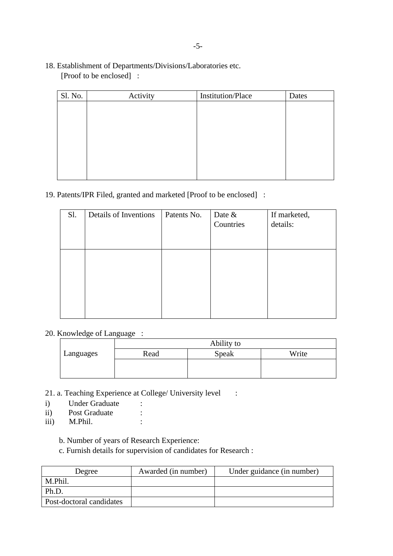#### 18. Establishment of Departments/Divisions/Laboratories etc. [Proof to be enclosed] :

| Sl. No. | Activity | Institution/Place | Dates |
|---------|----------|-------------------|-------|
|         |          |                   |       |
|         |          |                   |       |
|         |          |                   |       |
|         |          |                   |       |
|         |          |                   |       |
|         |          |                   |       |
|         |          |                   |       |
|         |          |                   |       |

## 19. Patents/IPR Filed, granted and marketed [Proof to be enclosed] :

## 20. Knowledge of Language :

|           | Ability to |       |       |
|-----------|------------|-------|-------|
| Languages | Read       | Speak | Write |
|           |            |       |       |
|           |            |       |       |

- 21. a. Teaching Experience at College/ University level :
- i) Under Graduate :
- ii) Post Graduate :
- iii) M.Phil. :

b. Number of years of Research Experience:

c. Furnish details for supervision of candidates for Research :

| Degree                   | Awarded (in number) | Under guidance (in number) |
|--------------------------|---------------------|----------------------------|
| M.Phil.                  |                     |                            |
| Ph.D.                    |                     |                            |
| Post-doctoral candidates |                     |                            |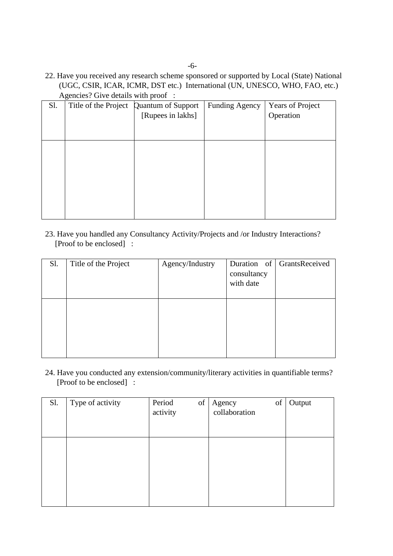22. Have you received any research scheme sponsored or supported by Local (State) National (UGC, CSIR, ICAR, ICMR, DST etc.) International (UN, UNESCO, WHO, FAO, etc.) Agencies? Give details with proof :

| Sl. | ັ<br>Title of the Project | Quantum of Support<br>[Rupees in lakhs] | <b>Funding Agency</b> | <b>Years of Project</b><br>Operation |
|-----|---------------------------|-----------------------------------------|-----------------------|--------------------------------------|
|     |                           |                                         |                       |                                      |
|     |                           |                                         |                       |                                      |
|     |                           |                                         |                       |                                      |
|     |                           |                                         |                       |                                      |
|     |                           |                                         |                       |                                      |
|     |                           |                                         |                       |                                      |

23. Have you handled any Consultancy Activity/Projects and /or Industry Interactions? [Proof to be enclosed] :

| Sl. | Title of the Project | Agency/Industry | consultancy<br>with date | Duration of GrantsReceived |
|-----|----------------------|-----------------|--------------------------|----------------------------|
|     |                      |                 |                          |                            |

24. Have you conducted any extension/community/literary activities in quantifiable terms? [Proof to be enclosed] :

| Sl. | Type of activity | Period<br>activity | $% \left( \left( \mathcal{A},\mathcal{A}\right) \right) =\left( \mathcal{A},\mathcal{A}\right)$ of | Agency<br>collaboration | of | Output |
|-----|------------------|--------------------|----------------------------------------------------------------------------------------------------|-------------------------|----|--------|
|     |                  |                    |                                                                                                    |                         |    |        |
|     |                  |                    |                                                                                                    |                         |    |        |
|     |                  |                    |                                                                                                    |                         |    |        |
|     |                  |                    |                                                                                                    |                         |    |        |
|     |                  |                    |                                                                                                    |                         |    |        |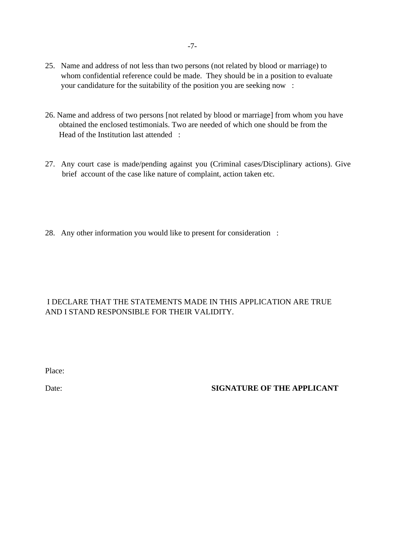- 25. Name and address of not less than two persons (not related by blood or marriage) to whom confidential reference could be made. They should be in a position to evaluate your candidature for the suitability of the position you are seeking now :
- 26. Name and address of two persons [not related by blood or marriage] from whom you have obtained the enclosed testimonials. Two are needed of which one should be from the Head of the Institution last attended :
- 27. Any court case is made/pending against you (Criminal cases/Disciplinary actions). Give brief account of the case like nature of complaint, action taken etc.
- 28. Any other information you would like to present for consideration :

#### I DECLARE THAT THE STATEMENTS MADE IN THIS APPLICATION ARE TRUE AND I STAND RESPONSIBLE FOR THEIR VALIDITY.

Place:

#### Date: **SIGNATURE OF THE APPLICANT**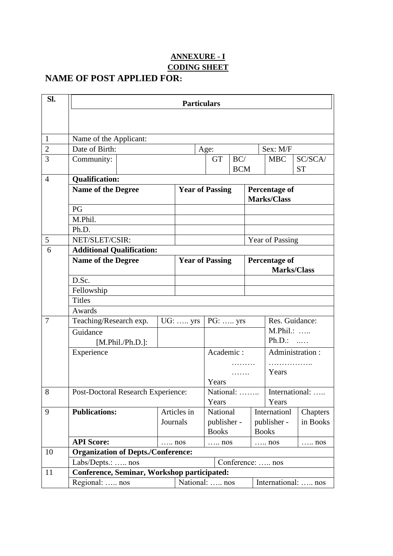## **ANNEXURE - I CODING SHEET**

# **NAME OF POST APPLIED FOR:**

| SI.            | <b>Particulars</b>                                      |                                            |              |                        |            |                        |                                    |                       |                                            |           |  |
|----------------|---------------------------------------------------------|--------------------------------------------|--------------|------------------------|------------|------------------------|------------------------------------|-----------------------|--------------------------------------------|-----------|--|
|                |                                                         |                                            |              |                        |            |                        |                                    |                       |                                            |           |  |
|                |                                                         |                                            |              |                        |            |                        |                                    |                       |                                            |           |  |
| 1              | Name of the Applicant:                                  |                                            |              |                        |            |                        |                                    |                       |                                            |           |  |
| $\overline{2}$ | Date of Birth:                                          |                                            |              |                        |            | Age:                   |                                    |                       | Sex: M/F                                   |           |  |
| 3              | Community:                                              |                                            |              |                        |            | <b>GT</b>              | BC/                                |                       | <b>MBC</b>                                 | SC/SCA/   |  |
|                |                                                         |                                            |              |                        |            |                        | <b>BCM</b>                         |                       |                                            | <b>ST</b> |  |
| $\overline{4}$ | <b>Qualification:</b>                                   |                                            |              |                        |            |                        |                                    |                       |                                            |           |  |
|                | <b>Name of the Degree</b>                               |                                            |              |                        |            | <b>Year of Passing</b> |                                    |                       | <b>Percentage of</b><br><b>Marks/Class</b> |           |  |
|                | PG                                                      |                                            |              |                        |            |                        |                                    |                       |                                            |           |  |
|                | M.Phil.                                                 |                                            |              |                        |            |                        |                                    |                       |                                            |           |  |
|                | Ph.D.                                                   |                                            |              |                        |            |                        |                                    |                       |                                            |           |  |
| 5              | NET/SLET/CSIR:                                          |                                            |              |                        |            |                        |                                    | Year of Passing       |                                            |           |  |
| 6              | <b>Additional Qualification:</b>                        |                                            |              |                        |            |                        |                                    |                       |                                            |           |  |
|                | <b>Name of the Degree</b>                               |                                            |              | <b>Year of Passing</b> |            |                        |                                    | <b>Percentage of</b>  |                                            |           |  |
|                |                                                         |                                            |              |                        |            |                        |                                    | <b>Marks/Class</b>    |                                            |           |  |
|                | D.Sc.                                                   |                                            |              |                        |            |                        |                                    |                       |                                            |           |  |
|                | Fellowship                                              |                                            |              |                        |            |                        |                                    |                       |                                            |           |  |
|                | <b>Titles</b>                                           |                                            |              |                        |            |                        |                                    |                       |                                            |           |  |
|                | Awards                                                  |                                            |              |                        |            |                        |                                    |                       |                                            |           |  |
| 7              |                                                         | Teaching/Research exp.<br>$UG: \ldots$ yrs |              |                        |            |                        | Res. Guidance:<br>$PG: \ldots$ yrs |                       |                                            |           |  |
|                | Guidance                                                |                                            |              |                        |            |                        |                                    |                       | M.Phil.:<br>$Ph.D.:$                       |           |  |
|                | [M.Phil./Ph.D.]:                                        |                                            |              |                        | Academic:  |                        |                                    |                       |                                            |           |  |
|                |                                                         | Experience                                 |              |                        |            |                        |                                    |                       | Administration:                            |           |  |
|                |                                                         |                                            |              |                        |            |                        |                                    | .<br>Years            |                                            |           |  |
|                |                                                         |                                            |              |                        | .<br>Years |                        |                                    |                       |                                            |           |  |
| 8              | Post-Doctoral Research Experience:                      |                                            |              |                        | National:  |                        |                                    |                       | International:                             |           |  |
|                |                                                         |                                            |              |                        |            | Years                  |                                    |                       | Years                                      |           |  |
| 9              | <b>Publications:</b>                                    |                                            | Articles in  |                        |            | National               |                                    |                       | Internationl                               | Chapters  |  |
|                |                                                         |                                            | Journals     |                        |            | publisher -            |                                    |                       | publisher -                                | in Books  |  |
|                |                                                         |                                            |              |                        |            | <b>Books</b>           |                                    | <b>Books</b>          |                                            |           |  |
|                | <b>API Score:</b>                                       |                                            | $\ldots$ nos |                        |            | $\ldots$ nos           |                                    | $\ldots$ nos<br>. nos |                                            |           |  |
| 10             |                                                         | <b>Organization of Depts./Conference:</b>  |              |                        |            |                        |                                    |                       |                                            |           |  |
|                | Conference:  nos<br>$Labs/Depts::$ nos                  |                                            |              |                        |            |                        |                                    |                       |                                            |           |  |
| 11             | <b>Conference, Seminar, Workshop participated:</b>      |                                            |              |                        |            |                        |                                    |                       |                                            |           |  |
|                | National:  nos<br>Regional:  nos<br>International:  nos |                                            |              |                        |            |                        |                                    |                       |                                            |           |  |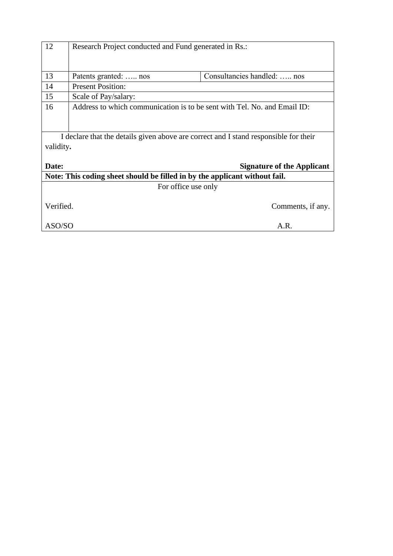| 12                                                                                                                                              | Research Project conducted and Fund generated in Rs.:                    |                             |  |  |  |  |
|-------------------------------------------------------------------------------------------------------------------------------------------------|--------------------------------------------------------------------------|-----------------------------|--|--|--|--|
| 13                                                                                                                                              | Patents granted:  nos                                                    | Consultancies handled:  nos |  |  |  |  |
| 14                                                                                                                                              | <b>Present Position:</b>                                                 |                             |  |  |  |  |
| 15                                                                                                                                              | Scale of Pay/salary:                                                     |                             |  |  |  |  |
| 16                                                                                                                                              | Address to which communication is to be sent with Tel. No. and Email ID: |                             |  |  |  |  |
| I declare that the details given above are correct and I stand responsible for their<br>validity.<br>Date:<br><b>Signature of the Applicant</b> |                                                                          |                             |  |  |  |  |
| Note: This coding sheet should be filled in by the applicant without fail.                                                                      |                                                                          |                             |  |  |  |  |
| For office use only                                                                                                                             |                                                                          |                             |  |  |  |  |
| Verified.                                                                                                                                       |                                                                          | Comments, if any.           |  |  |  |  |
| ASO/SO<br>A.R.                                                                                                                                  |                                                                          |                             |  |  |  |  |